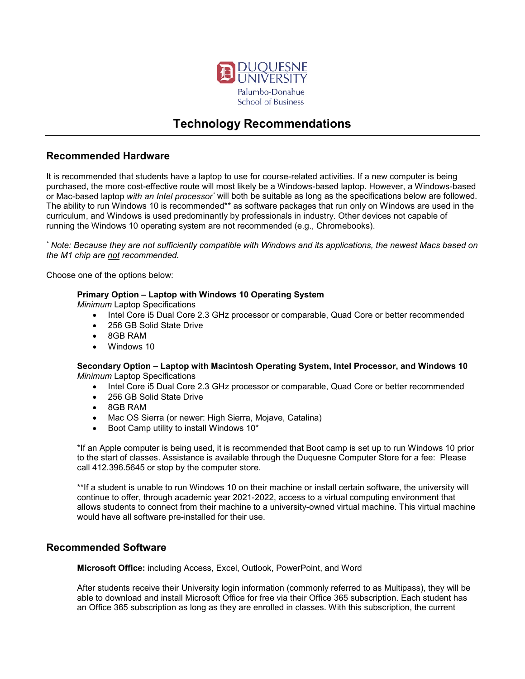

# **Technology Recommendations**

## **Recommended Hardware**

It is recommended that students have a laptop to use for course-related activities. If a new computer is being purchased, the more cost-effective route will most likely be a Windows-based laptop. However, a Windows-based or Mac-based laptop *with an Intel processor\** will both be suitable as long as the specifications below are followed. The ability to run Windows 10 is recommended\*\* as software packages that run only on Windows are used in the curriculum, and Windows is used predominantly by professionals in industry. Other devices not capable of running the Windows 10 operating system are not recommended (e.g., Chromebooks).

*\* Note: Because they are not sufficiently compatible with Windows and its applications, the newest Macs based on the M1 chip are not recommended.*

Choose one of the options below:

### **Primary Option – Laptop with Windows 10 Operating System**

*Minimum* Laptop Specifications

- Intel Core i5 Dual Core 2.3 GHz processor or comparable, Quad Core or better recommended
- 256 GB Solid State Drive
- 8GB RAM
- Windows 10

#### **Secondary Option – Laptop with Macintosh Operating System, Intel Processor, and Windows 10** *Minimum* Laptop Specifications

- Intel Core i5 Dual Core 2.3 GHz processor or comparable, Quad Core or better recommended
- 256 GB Solid State Drive
- 8GB RAM
- Mac OS Sierra (or newer: High Sierra, Mojave, Catalina)
- Boot Camp utility to install Windows 10\*

\*If an Apple computer is being used, it is recommended that Boot camp is set up to run Windows 10 prior to the start of classes. Assistance is available through the Duquesne Computer Store for a fee: Please call 412.396.5645 or stop by the computer store.

\*\*If a student is unable to run Windows 10 on their machine or install certain software, the university will continue to offer, through academic year 2021-2022, access to a virtual computing environment that allows students to connect from their machine to a university-owned virtual machine. This virtual machine would have all software pre-installed for their use.

## **Recommended Software**

**Microsoft Office:** including Access, Excel, Outlook, PowerPoint, and Word

After students receive their University login information (commonly referred to as Multipass), they will be able to download and install Microsoft Office for free via their Office 365 subscription. Each student has an Office 365 subscription as long as they are enrolled in classes. With this subscription, the current